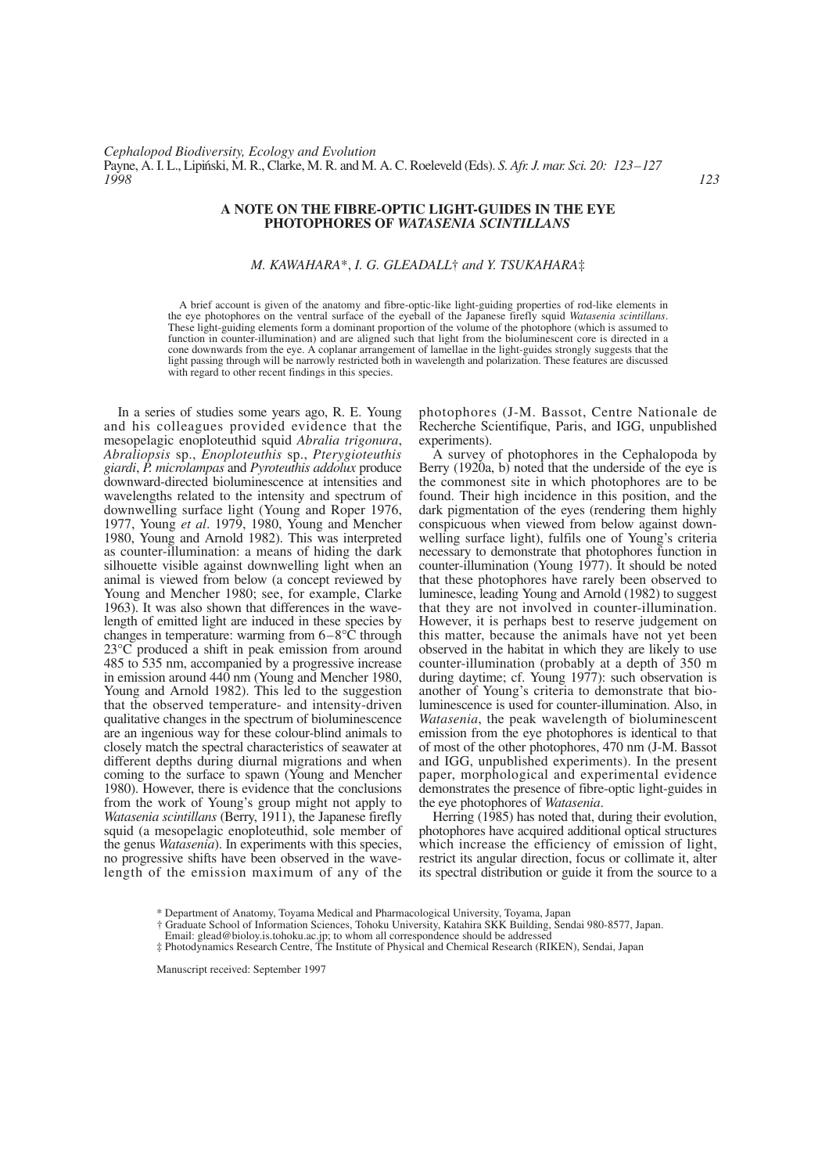## **A NOTE ON THE FIBRE-OPTIC LIGHT-GUIDES IN THE EYE PHOTOPHORES OF** *WATASENIA SCINTILLANS*

## *M. KAWAHARA*\*, *I. G. GLEADALL*† *and Y. TSUKAHARA*‡

A brief account is given of the anatomy and fibre-optic-like light-guiding properties of rod-like elements in the eye photophores on the ventral surface of the eyeball of the Japanese firefly squid *Watasenia scintillans*. These light-guiding elements form a dominant proportion of the volume of the photophore (which is assumed to function in counter-illumination) and are aligned such that light from the bioluminescent core is directed in a cone downwards from the eye. A coplanar arrangement of lamellae in the light-guides strongly suggests that the light passing through will be narrowly restricted both in wavelength and polarization. These features are discussed with regard to other recent findings in this species.

In a series of studies some years ago, R. E. Young and his colleagues provided evidence that the mesopelagic enoploteuthid squid *Abralia trigonura*, *Abraliopsis* sp., *Enoploteuthis* sp., *Pterygioteuthis giardi*, *P. microlampas* and *Pyroteuthis addolux* produce downward-directed bioluminescence at intensities and wavelengths related to the intensity and spectrum of downwelling surface light (Young and Roper 1976, 1977, Young *et al*. 1979, 1980, Young and Mencher 1980, Young and Arnold 1982). This was interpreted as counter-illumination: a means of hiding the dark silhouette visible against downwelling light when an animal is viewed from below (a concept reviewed by Young and Mencher 1980; see, for example, Clarke 1963). It was also shown that differences in the wavelength of emitted light are induced in these species by changes in temperature: warming from 6–8°C through 23°C produced a shift in peak emission from around 485 to 535 nm, accompanied by a progressive increase in emission around 440 nm (Young and Mencher 1980, Young and Arnold 1982). This led to the suggestion that the observed temperature- and intensity-driven qualitative changes in the spectrum of bioluminescence are an ingenious way for these colour-blind animals to closely match the spectral characteristics of seawater at different depths during diurnal migrations and when coming to the surface to spawn (Young and Mencher 1980). However, there is evidence that the conclusions from the work of Young's group might not apply to *Watasenia scintillans* (Berry, 1911), the Japanese firefly squid (a mesopelagic enoploteuthid, sole member of the genus *Watasenia*). In experiments with this species, no progressive shifts have been observed in the wavelength of the emission maximum of any of the photophores (J-M. Bassot, Centre Nationale de Recherche Scientifique, Paris, and IGG, unpublished experiments).

A survey of photophores in the Cephalopoda by Berry (1920a, b) noted that the underside of the eye is the commonest site in which photophores are to be found. Their high incidence in this position, and the dark pigmentation of the eyes (rendering them highly conspicuous when viewed from below against downwelling surface light), fulfils one of Young's criteria necessary to demonstrate that photophores function in counter-illumination (Young 1977). It should be noted that these photophores have rarely been observed to luminesce, leading Young and Arnold (1982) to suggest that they are not involved in counter-illumination. However, it is perhaps best to reserve judgement on this matter, because the animals have not yet been observed in the habitat in which they are likely to use counter-illumination (probably at a depth of 350 m during daytime; cf. Young 1977): such observation is another of Young's criteria to demonstrate that bioluminescence is used for counter-illumination. Also, in *Watasenia*, the peak wavelength of bioluminescent emission from the eye photophores is identical to that of most of the other photophores, 470 nm (J-M. Bassot and IGG, unpublished experiments). In the present paper, morphological and experimental evidence demonstrates the presence of fibre-optic light-guides in the eye photophores of *Watasenia*.

Herring (1985) has noted that, during their evolution, photophores have acquired additional optical structures which increase the efficiency of emission of light, restrict its angular direction, focus or collimate it, alter its spectral distribution or guide it from the source to a

- † Graduate School of Information Sciences, Tohoku University, Katahira SKK Building, Sendai 980-8577, Japan.
- Email: glead@bioloy.is.tohoku.ac.jp; to whom all correspondence should be addressed
- ‡ Photodynamics Research Centre, The Institute of Physical and Chemical Research (RIKEN), Sendai, Japan

Manuscript received: September 1997

<sup>\*</sup> Department of Anatomy, Toyama Medical and Pharmacological University, Toyama, Japan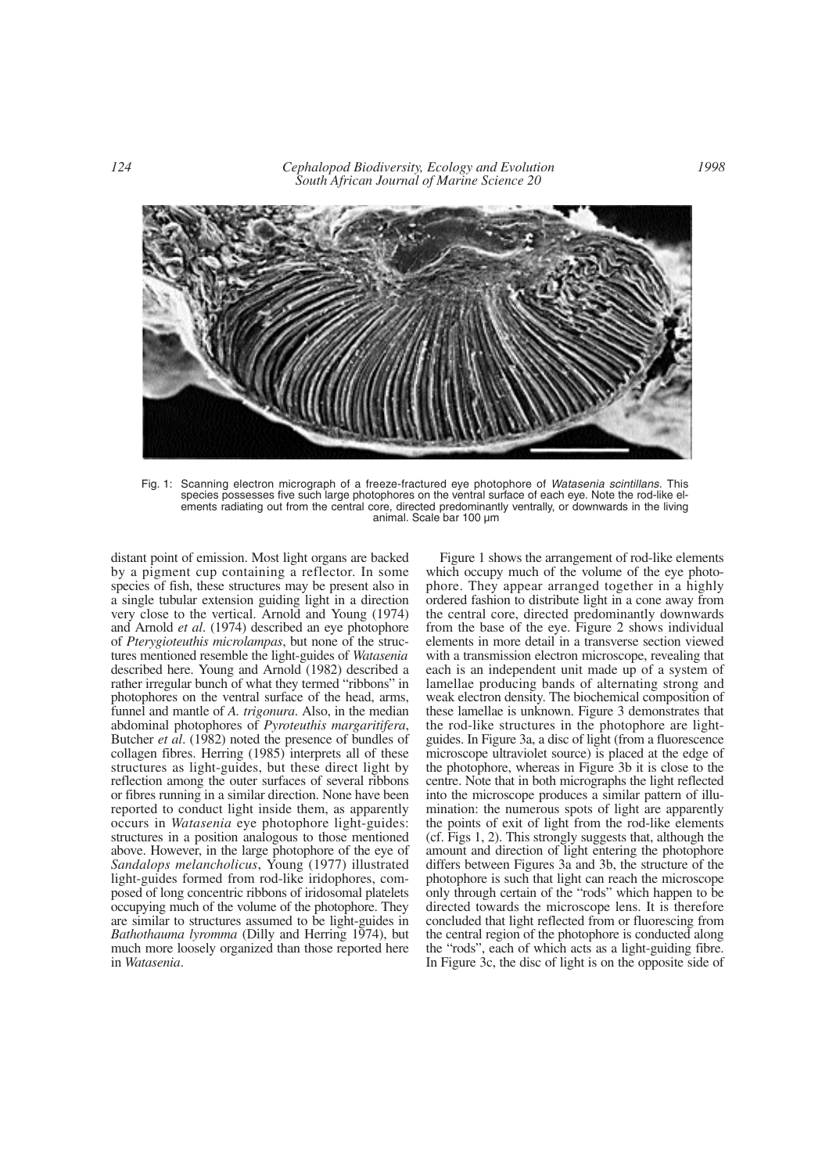*124 Cephalopod Biodiversity, Ecology and Evolution South African Journal of Marine Science 20*



Fig. 1: Scanning electron micrograph of a freeze-fractured eye photophore of *Watasenia scintillans*. This species possesses five such large photophores on the ventral surface of each eye. Note the rod-like elements radiating out from the central core, directed predominantly ventrally, or downwards in the living animal. Scale bar 100 µm

distant point of emission. Most light organs are backed by a pigment cup containing a reflector. In some species of fish, these structures may be present also in a single tubular extension guiding light in a direction very close to the vertical. Arnold and Young (1974) and Arnold *et al*. (1974) described an eye photophore of *Pterygioteuthis microlampas*, but none of the structures mentioned resemble the light-guides of *Watasenia* described here. Young and Arnold (1982) described a rather irregular bunch of what they termed "ribbons" in photophores on the ventral surface of the head, arms, funnel and mantle of *A. trigonura*. Also, in the median abdominal photophores of *Pyroteuthis margaritifera*, Butcher *et al*. (1982) noted the presence of bundles of collagen fibres. Herring (1985) interprets all of these structures as light-guides, but these direct light by reflection among the outer surfaces of several ribbons or fibres running in a similar direction. None have been reported to conduct light inside them, as apparently occurs in *Watasenia* eye photophore light-guides: structures in a position analogous to those mentioned above. However, in the large photophore of the eye of *Sandalops melancholicus*, Young (1977) illustrated light-guides formed from rod-like iridophores, composed of long concentric ribbons of iridosomal platelets occupying much of the volume of the photophore. They are similar to structures assumed to be light-guides in *Bathothauma lyromma* (Dilly and Herring 1974), but much more loosely organized than those reported here in *Watasenia*.

Figure 1 shows the arrangement of rod-like elements which occupy much of the volume of the eye photophore. They appear arranged together in a highly ordered fashion to distribute light in a cone away from the central core, directed predominantly downwards from the base of the eye. Figure 2 shows individual elements in more detail in a transverse section viewed with a transmission electron microscope, revealing that each is an independent unit made up of a system of lamellae producing bands of alternating strong and weak electron density. The biochemical composition of these lamellae is unknown. Figure 3 demonstrates that the rod-like structures in the photophore are lightguides. In Figure 3a, a disc of light (from a fluorescence microscope ultraviolet source) is placed at the edge of the photophore, whereas in Figure 3b it is close to the centre. Note that in both micrographs the light reflected into the microscope produces a similar pattern of illumination: the numerous spots of light are apparently the points of exit of light from the rod-like elements (cf. Figs 1, 2). This strongly suggests that, although the amount and direction of light entering the photophore differs between Figures 3a and 3b, the structure of the photophore is such that light can reach the microscope only through certain of the "rods" which happen to be directed towards the microscope lens. It is therefore concluded that light reflected from or fluorescing from the central region of the photophore is conducted along the "rods", each of which acts as a light-guiding fibre. In Figure 3c, the disc of light is on the opposite side of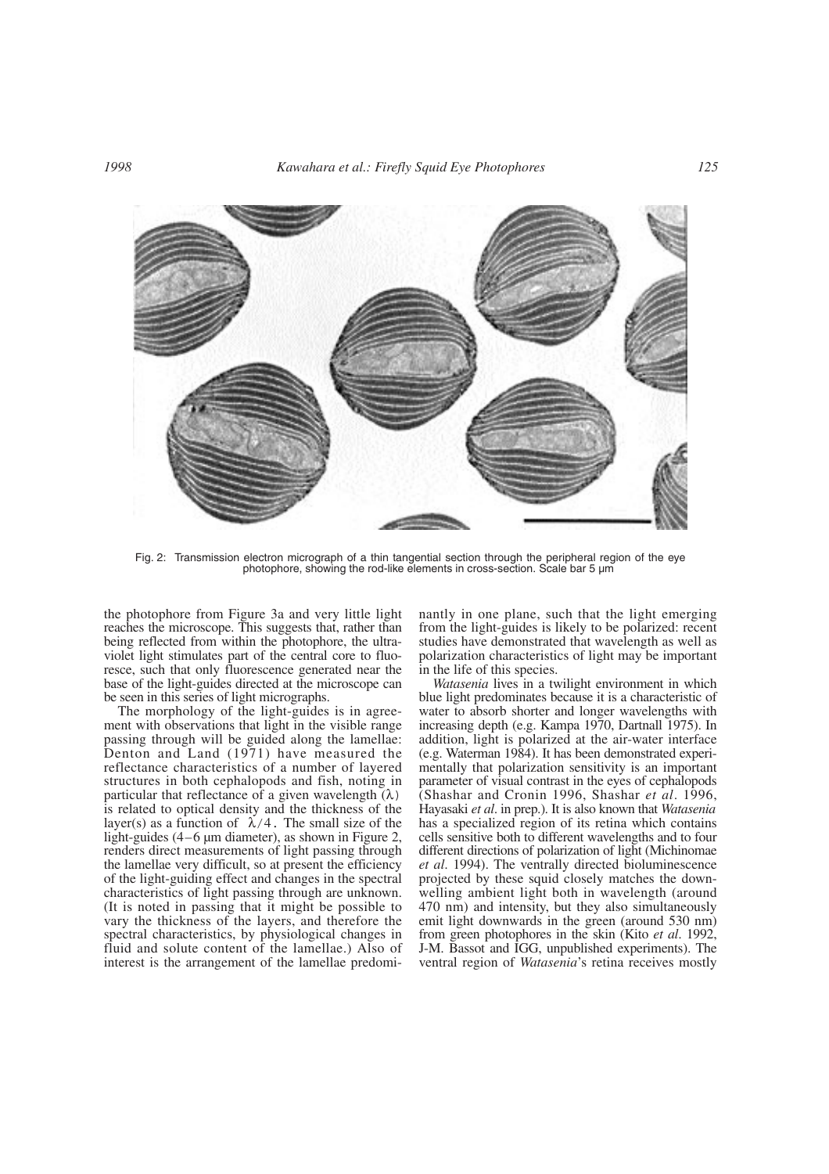

Fig. 2: Transmission electron micrograph of a thin tangential section through the peripheral region of the eye photophore, showing the rod-like elements in cross-section. Scale bar 5 µm

the photophore from Figure 3a and very little light reaches the microscope. This suggests that, rather than being reflected from within the photophore, the ultraviolet light stimulates part of the central core to fluoresce, such that only fluorescence generated near the base of the light-guides directed at the microscope can be seen in this series of light micrographs.

The morphology of the light-guides is in agreement with observations that light in the visible range passing through will be guided along the lamellae: Denton and Land (1971) have measured the reflectance characteristics of a number of layered structures in both cephalopods and fish, noting in particular that reflectance of a given wavelength  $(\lambda)$ is related to optical density and the thickness of the layer(s) as a function of  $\lambda/4$ . The small size of the light-guides (4–6 µm diameter), as shown in Figure 2, renders direct measurements of light passing through the lamellae very difficult, so at present the efficiency of the light-guiding effect and changes in the spectral characteristics of light passing through are unknown. (It is noted in passing that it might be possible to vary the thickness of the layers, and therefore the spectral characteristics, by physiological changes in fluid and solute content of the lamellae.) Also of interest is the arrangement of the lamellae predominantly in one plane, such that the light emerging from the light-guides is likely to be polarized: recent studies have demonstrated that wavelength as well as polarization characteristics of light may be important in the life of this species.

*Watasenia* lives in a twilight environment in which blue light predominates because it is a characteristic of water to absorb shorter and longer wavelengths with increasing depth (e.g. Kampa 1970, Dartnall 1975). In addition, light is polarized at the air-water interface (e.g. Waterman 1984). It has been demonstrated experimentally that polarization sensitivity is an important parameter of visual contrast in the eyes of cephalopods (Shashar and Cronin 1996, Shashar *et al*. 1996, Hayasaki *et al*. in prep.). It is also known that *Watasenia* has a specialized region of its retina which contains cells sensitive both to different wavelengths and to four different directions of polarization of light (Michinomae *et al*. 1994). The ventrally directed bioluminescence projected by these squid closely matches the downwelling ambient light both in wavelength (around 470 nm) and intensity, but they also simultaneously emit light downwards in the green (around 530 nm) from green photophores in the skin (Kito *et al*. 1992, J-M. Bassot and IGG, unpublished experiments). The ventral region of *Watasenia*'s retina receives mostly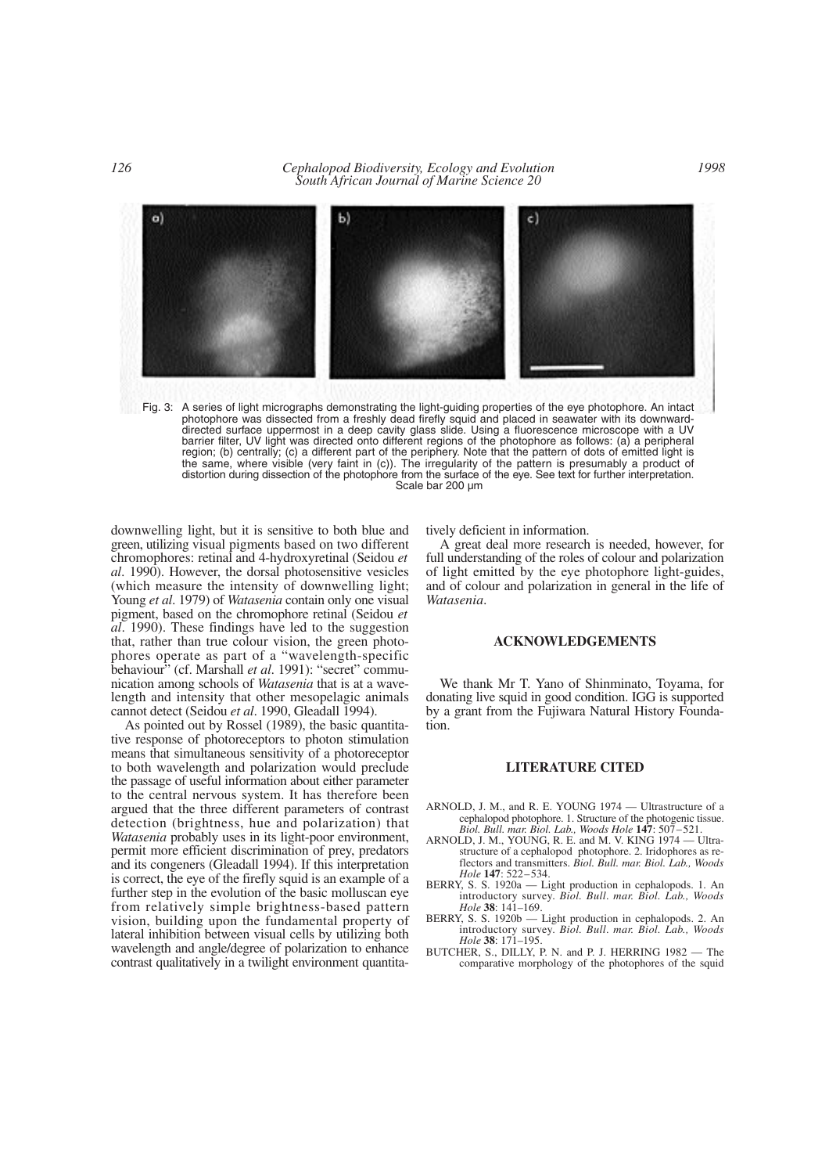*126 Cephalopod Biodiversity, Ecology and Evolution South African Journal of Marine Science 20*



Fig. 3: A series of light micrographs demonstrating the light-guiding properties of the eye photophore. An intact photophore was dissected from a freshly dead firefly squid and placed in seawater with its downwarddirected surface uppermost in a deep cavity glass slide. Using a fluorescence microscope with a UV barrier filter, UV light was directed onto different regions of the photophore as follows: (a) a peripheral region; (b) centrally; (c) a different part of the periphery. Note that the pattern of dots of emitted light is the same, where visible (very faint in (c)). The irregularity of the pattern is presumably a product of distortion during dissection of the photophore from the surface of the eye. See text for further interpretation. Scale bar 200 µm

downwelling light, but it is sensitive to both blue and green, utilizing visual pigments based on two different chromophores: retinal and 4-hydroxyretinal (Seidou *et al*. 1990). However, the dorsal photosensitive vesicles (which measure the intensity of downwelling light; Young *et al*. 1979) of *Watasenia* contain only one visual pigment, based on the chromophore retinal (Seidou *et al*. 1990). These findings have led to the suggestion that, rather than true colour vision, the green photophores operate as part of a "wavelength-specific behaviour" (cf. Marshall *et al*. 1991): "secret" communication among schools of *Watasenia* that is at a wavelength and intensity that other mesopelagic animals cannot detect (Seidou *et al*. 1990, Gleadall 1994).

As pointed out by Rossel (1989), the basic quantitative response of photoreceptors to photon stimulation means that simultaneous sensitivity of a photoreceptor to both wavelength and polarization would preclude the passage of useful information about either parameter to the central nervous system. It has therefore been argued that the three different parameters of contrast detection (brightness, hue and polarization) that *Watasenia* probably uses in its light-poor environment, permit more efficient discrimination of prey, predators and its congeners (Gleadall 1994). If this interpretation is correct, the eye of the firefly squid is an example of a further step in the evolution of the basic molluscan eye from relatively simple brightness-based pattern vision, building upon the fundamental property of lateral inhibition between visual cells by utilizing both wavelength and angle/degree of polarization to enhance contrast qualitatively in a twilight environment quantitatively deficient in information.

A great deal more research is needed, however, for full understanding of the roles of colour and polarization of light emitted by the eye photophore light-guides, and of colour and polarization in general in the life of *Watasenia*.

## **ACKNOWLEDGEMENTS**

We thank Mr T. Yano of Shinminato, Toyama, for donating live squid in good condition. IGG is supported by a grant from the Fujiwara Natural History Foundation.

## **LITERATURE CITED**

- ARNOLD, J. M., and R. E. YOUNG 1974 Ultrastructure of a cephalopod photophore. 1. Structure of the photogenic tissue. *Biol. Bull. mar. Biol. Lab., Woods Hole* **147**: 507–521.
- ARNOLD, J. M., YOUNG, R. E. and M. V. KING 1974 Ultrastructure of a cephalopod photophore. 2. Iridophores as reflectors and transmitters. *Biol. Bull. mar. Biol. Lab., Woods Hole* **147**: 522–534.
- BERRY, S. S. 1920a Light production in cephalopods. 1. An introductory survey. *Biol. Bull*. *mar. Biol. Lab., Woods Hole* **38**: 141–169.
- BERRY, S. S. 1920b Light production in cephalopods. 2. An introductory survey. *Biol. Bull*. *mar. Biol. Lab., Woods Hole* **38**: 171–195.
- BUTCHER, S., DILLY, P. N. and P. J. HERRING 1982 The comparative morphology of the photophores of the squid